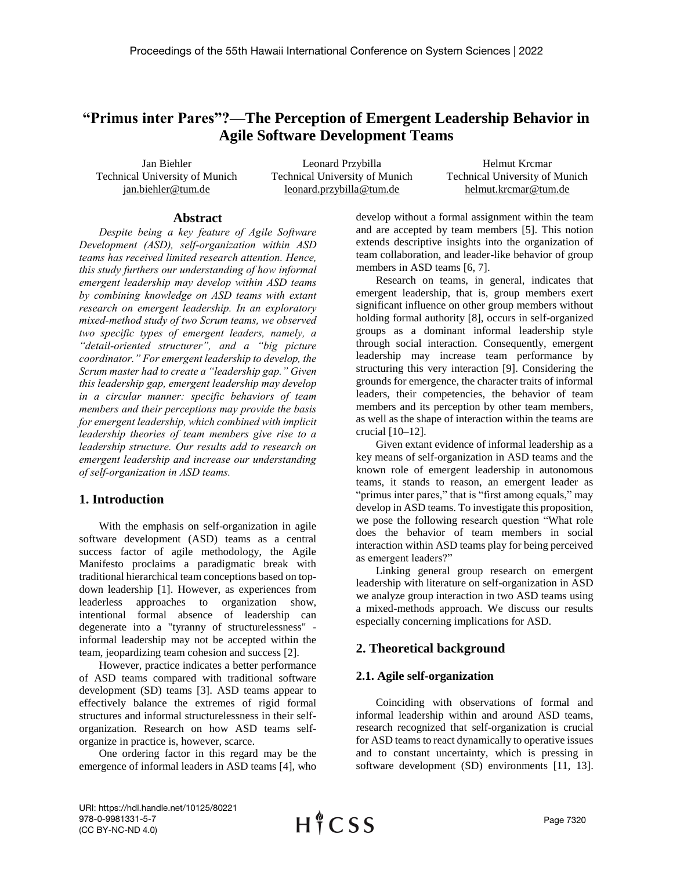# **"Primus inter Pares"?—The Perception of Emergent Leadership Behavior in Agile Software Development Teams**

Jan Biehler Technical University of Munich jan.biehler@tum.de

Leonard Przybilla Technical University of Munich leonard.przybilla@tum.de

Helmut Krcmar Technical University of Munich helmut.krcmar@tum.de

#### **Abstract**

*Despite being a key feature of Agile Software Development (ASD), self-organization within ASD teams has received limited research attention. Hence, this study furthers our understanding of how informal emergent leadership may develop within ASD teams by combining knowledge on ASD teams with extant research on emergent leadership. In an exploratory mixed-method study of two Scrum teams, we observed two specific types of emergent leaders, namely, a "detail-oriented structurer", and a "big picture coordinator." For emergent leadership to develop, the Scrum master had to create a "leadership gap." Given this leadership gap, emergent leadership may develop in a circular manner: specific behaviors of team members and their perceptions may provide the basis for emergent leadership, which combined with implicit leadership theories of team members give rise to a leadership structure. Our results add to research on emergent leadership and increase our understanding of self-organization in ASD teams.*

## **1. Introduction**

With the emphasis on self-organization in agile software development (ASD) teams as a central success factor of agile methodology, the Agile Manifesto proclaims a paradigmatic break with traditional hierarchical team conceptions based on topdown leadership [1]. However, as experiences from leaderless approaches to organization show, intentional formal absence of leadership can degenerate into a "tyranny of structurelessness" informal leadership may not be accepted within the team, jeopardizing team cohesion and success [2].

However, practice indicates a better performance of ASD teams compared with traditional software development (SD) teams [3]. ASD teams appear to effectively balance the extremes of rigid formal structures and informal structurelessness in their selforganization. Research on how ASD teams selforganize in practice is, however, scarce.

One ordering factor in this regard may be the emergence of informal leaders in ASD teams [4], who develop without a formal assignment within the team and are accepted by team members [5]. This notion extends descriptive insights into the organization of team collaboration, and leader-like behavior of group members in ASD teams [6, 7].

Research on teams, in general, indicates that emergent leadership, that is, group members exert significant influence on other group members without holding formal authority [8], occurs in self-organized groups as a dominant informal leadership style through social interaction. Consequently, emergent leadership may increase team performance by structuring this very interaction [9]. Considering the grounds for emergence, the character traits of informal leaders, their competencies, the behavior of team members and its perception by other team members, as well as the shape of interaction within the teams are crucial [10–12].

Given extant evidence of informal leadership as a key means of self-organization in ASD teams and the known role of emergent leadership in autonomous teams, it stands to reason, an emergent leader as "primus inter pares," that is "first among equals," may develop in ASD teams. To investigate this proposition, we pose the following research question "What role does the behavior of team members in social interaction within ASD teams play for being perceived as emergent leaders?"

Linking general group research on emergent leadership with literature on self-organization in ASD we analyze group interaction in two ASD teams using a mixed-methods approach. We discuss our results especially concerning implications for ASD.

# **2. Theoretical background**

## **2.1. Agile self-organization**

Coinciding with observations of formal and informal leadership within and around ASD teams, research recognized that self-organization is crucial for ASD teams to react dynamically to operative issues and to constant uncertainty, which is pressing in software development (SD) environments [11, 13].

URI: https://hdl.handle.net/10125/80221 978-0-9981331-5-7 (CC BY-NC-ND 4.0)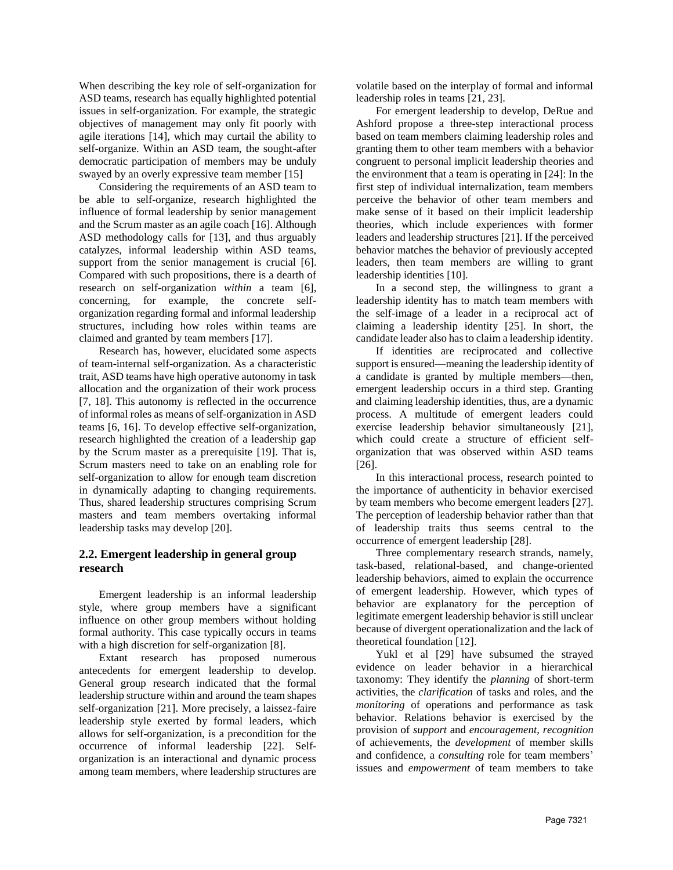When describing the key role of self-organization for ASD teams, research has equally highlighted potential issues in self-organization. For example, the strategic objectives of management may only fit poorly with agile iterations [14], which may curtail the ability to self-organize. Within an ASD team, the sought-after democratic participation of members may be unduly swayed by an overly expressive team member [15]

Considering the requirements of an ASD team to be able to self-organize, research highlighted the influence of formal leadership by senior management and the Scrum master as an agile coach [16]. Although ASD methodology calls for [13], and thus arguably catalyzes, informal leadership within ASD teams, support from the senior management is crucial [6]. Compared with such propositions, there is a dearth of research on self-organization *within* a team [6], concerning, for example, the concrete selforganization regarding formal and informal leadership structures, including how roles within teams are claimed and granted by team members [17].

Research has, however, elucidated some aspects of team-internal self-organization. As a characteristic trait, ASD teams have high operative autonomy in task allocation and the organization of their work process [7, 18]. This autonomy is reflected in the occurrence of informal roles as means of self-organization in ASD teams [6, 16]. To develop effective self-organization, research highlighted the creation of a leadership gap by the Scrum master as a prerequisite [19]. That is, Scrum masters need to take on an enabling role for self-organization to allow for enough team discretion in dynamically adapting to changing requirements. Thus, shared leadership structures comprising Scrum masters and team members overtaking informal leadership tasks may develop [20].

### **2.2. Emergent leadership in general group research**

Emergent leadership is an informal leadership style, where group members have a significant influence on other group members without holding formal authority. This case typically occurs in teams with a high discretion for self-organization [8].

Extant research has proposed numerous antecedents for emergent leadership to develop. General group research indicated that the formal leadership structure within and around the team shapes self-organization [21]. More precisely, a laissez-faire leadership style exerted by formal leaders, which allows for self-organization, is a precondition for the occurrence of informal leadership [22]. Selforganization is an interactional and dynamic process among team members, where leadership structures are volatile based on the interplay of formal and informal leadership roles in teams [21, 23].

For emergent leadership to develop, DeRue and Ashford propose a three-step interactional process based on team members claiming leadership roles and granting them to other team members with a behavior congruent to personal implicit leadership theories and the environment that a team is operating in [24]: In the first step of individual internalization, team members perceive the behavior of other team members and make sense of it based on their implicit leadership theories, which include experiences with former leaders and leadership structures [21]. If the perceived behavior matches the behavior of previously accepted leaders, then team members are willing to grant leadership identities [10].

In a second step, the willingness to grant a leadership identity has to match team members with the self-image of a leader in a reciprocal act of claiming a leadership identity [25]. In short, the candidate leader also has to claim a leadership identity.

If identities are reciprocated and collective support is ensured—meaning the leadership identity of a candidate is granted by multiple members—then, emergent leadership occurs in a third step. Granting and claiming leadership identities, thus, are a dynamic process. A multitude of emergent leaders could exercise leadership behavior simultaneously [21], which could create a structure of efficient selforganization that was observed within ASD teams [26].

In this interactional process, research pointed to the importance of authenticity in behavior exercised by team members who become emergent leaders [27]. The perception of leadership behavior rather than that of leadership traits thus seems central to the occurrence of emergent leadership [28].

Three complementary research strands, namely, task-based, relational-based, and change-oriented leadership behaviors, aimed to explain the occurrence of emergent leadership. However, which types of behavior are explanatory for the perception of legitimate emergent leadership behavior is still unclear because of divergent operationalization and the lack of theoretical foundation [12].

Yukl et al [29] have subsumed the strayed evidence on leader behavior in a hierarchical taxonomy: They identify the *planning* of short-term activities, the *clarification* of tasks and roles, and the *monitoring* of operations and performance as task behavior. Relations behavior is exercised by the provision of *support* and *encouragement*, *recognition* of achievements, the *development* of member skills and confidence, a *consulting* role for team members' issues and *empowerment* of team members to take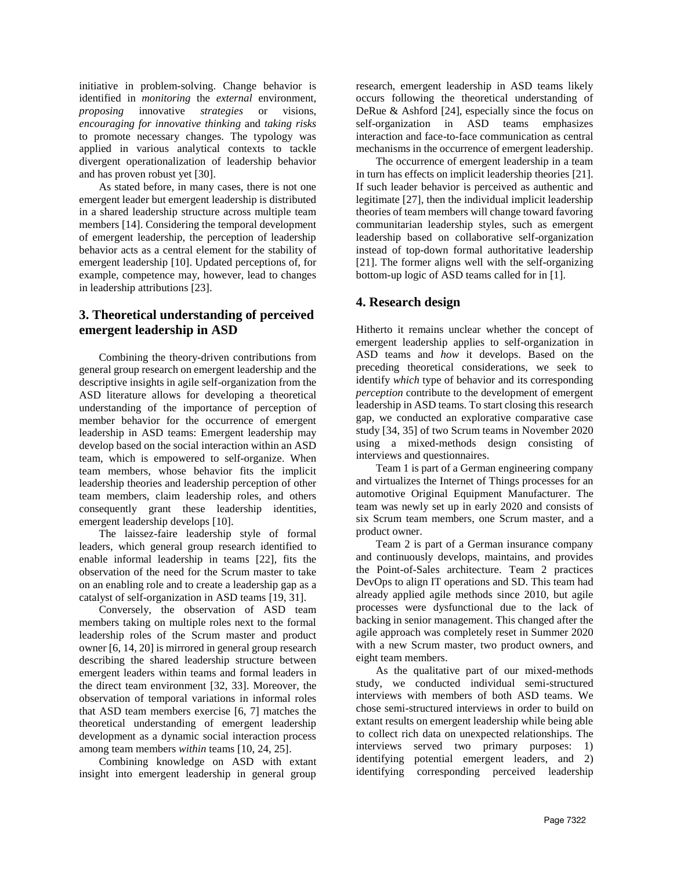initiative in problem-solving. Change behavior is identified in *monitoring* the *external* environment, *proposing* innovative *strategies* or visions, *encouraging for innovative thinking* and *taking risks* to promote necessary changes. The typology was applied in various analytical contexts to tackle divergent operationalization of leadership behavior and has proven robust yet [30].

As stated before, in many cases, there is not one emergent leader but emergent leadership is distributed in a shared leadership structure across multiple team members [14]. Considering the temporal development of emergent leadership, the perception of leadership behavior acts as a central element for the stability of emergent leadership [10]. Updated perceptions of, for example, competence may, however, lead to changes in leadership attributions [23].

# **3. Theoretical understanding of perceived emergent leadership in ASD**

Combining the theory-driven contributions from general group research on emergent leadership and the descriptive insights in agile self-organization from the ASD literature allows for developing a theoretical understanding of the importance of perception of member behavior for the occurrence of emergent leadership in ASD teams: Emergent leadership may develop based on the social interaction within an ASD team, which is empowered to self-organize. When team members, whose behavior fits the implicit leadership theories and leadership perception of other team members, claim leadership roles, and others consequently grant these leadership identities, emergent leadership develops [10].

The laissez-faire leadership style of formal leaders, which general group research identified to enable informal leadership in teams [22], fits the observation of the need for the Scrum master to take on an enabling role and to create a leadership gap as a catalyst of self-organization in ASD teams [19, 31].

Conversely, the observation of ASD team members taking on multiple roles next to the formal leadership roles of the Scrum master and product owner [6, 14, 20] is mirrored in general group research describing the shared leadership structure between emergent leaders within teams and formal leaders in the direct team environment [32, 33]. Moreover, the observation of temporal variations in informal roles that ASD team members exercise [6, 7] matches the theoretical understanding of emergent leadership development as a dynamic social interaction process among team members *within* teams [10, 24, 25].

Combining knowledge on ASD with extant insight into emergent leadership in general group

research, emergent leadership in ASD teams likely occurs following the theoretical understanding of DeRue & Ashford [24], especially since the focus on self-organization in ASD teams emphasizes interaction and face-to-face communication as central mechanisms in the occurrence of emergent leadership.

The occurrence of emergent leadership in a team in turn has effects on implicit leadership theories [21]. If such leader behavior is perceived as authentic and legitimate [27], then the individual implicit leadership theories of team members will change toward favoring communitarian leadership styles, such as emergent leadership based on collaborative self-organization instead of top-down formal authoritative leadership [21]. The former aligns well with the self-organizing bottom-up logic of ASD teams called for in [1].

# **4. Research design**

Hitherto it remains unclear whether the concept of emergent leadership applies to self-organization in ASD teams and *how* it develops. Based on the preceding theoretical considerations, we seek to identify *which* type of behavior and its corresponding *perception* contribute to the development of emergent leadership in ASD teams. To start closing this research gap, we conducted an explorative comparative case study [34, 35] of two Scrum teams in November 2020 using a mixed-methods design consisting of interviews and questionnaires.

Team 1 is part of a German engineering company and virtualizes the Internet of Things processes for an automotive Original Equipment Manufacturer. The team was newly set up in early 2020 and consists of six Scrum team members, one Scrum master, and a product owner.

Team 2 is part of a German insurance company and continuously develops, maintains, and provides the Point-of-Sales architecture. Team 2 practices DevOps to align IT operations and SD. This team had already applied agile methods since 2010, but agile processes were dysfunctional due to the lack of backing in senior management. This changed after the agile approach was completely reset in Summer 2020 with a new Scrum master, two product owners, and eight team members.

As the qualitative part of our mixed-methods study, we conducted individual semi-structured interviews with members of both ASD teams. We chose semi-structured interviews in order to build on extant results on emergent leadership while being able to collect rich data on unexpected relationships. The interviews served two primary purposes: 1) identifying potential emergent leaders, and 2) identifying corresponding perceived leadership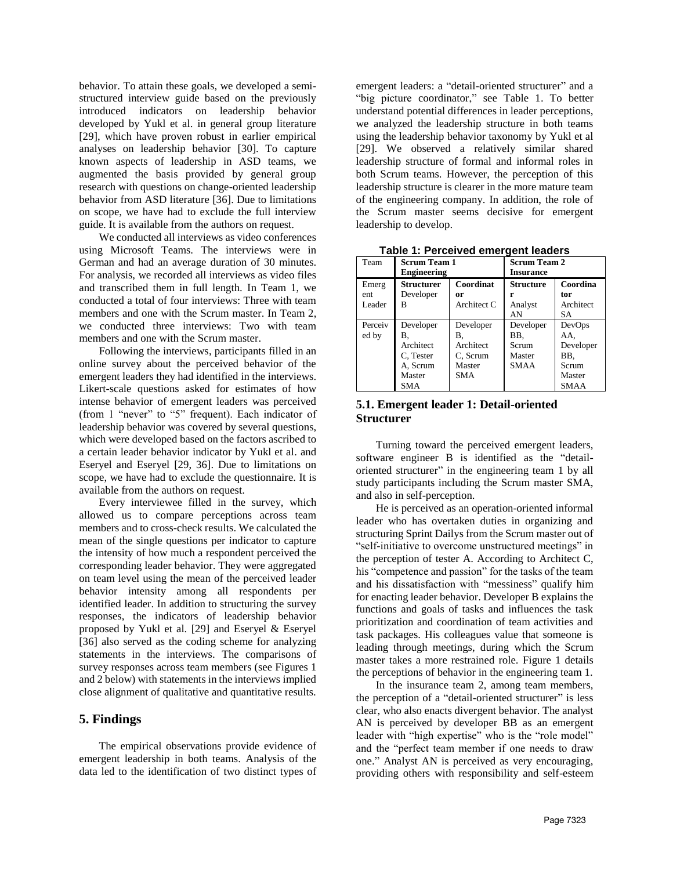behavior. To attain these goals, we developed a semistructured interview guide based on the previously introduced indicators on leadership behavior developed by Yukl et al. in general group literature [29], which have proven robust in earlier empirical analyses on leadership behavior [30]. To capture known aspects of leadership in ASD teams, we augmented the basis provided by general group research with questions on change-oriented leadership behavior from ASD literature [36]. Due to limitations on scope, we have had to exclude the full interview guide. It is available from the authors on request.

We conducted all interviews as video conferences using Microsoft Teams. The interviews were in German and had an average duration of 30 minutes. For analysis, we recorded all interviews as video files and transcribed them in full length. In Team 1, we conducted a total of four interviews: Three with team members and one with the Scrum master. In Team 2, we conducted three interviews: Two with team members and one with the Scrum master.

Following the interviews, participants filled in an online survey about the perceived behavior of the emergent leaders they had identified in the interviews. Likert-scale questions asked for estimates of how intense behavior of emergent leaders was perceived (from 1 "never" to "5" frequent). Each indicator of leadership behavior was covered by several questions, which were developed based on the factors ascribed to a certain leader behavior indicator by Yukl et al. and Eseryel and Eseryel [29, 36]. Due to limitations on scope, we have had to exclude the questionnaire. It is available from the authors on request.

Every interviewee filled in the survey, which allowed us to compare perceptions across team members and to cross-check results. We calculated the mean of the single questions per indicator to capture the intensity of how much a respondent perceived the corresponding leader behavior. They were aggregated on team level using the mean of the perceived leader behavior intensity among all respondents per identified leader. In addition to structuring the survey responses, the indicators of leadership behavior proposed by Yukl et al. [29] and Eseryel & Eseryel [36] also served as the coding scheme for analyzing statements in the interviews. The comparisons of survey responses across team members (see Figures 1 and 2 below) with statements in the interviews implied close alignment of qualitative and quantitative results.

### **5. Findings**

The empirical observations provide evidence of emergent leadership in both teams. Analysis of the data led to the identification of two distinct types of emergent leaders: a "detail-oriented structurer" and a "big picture coordinator," see Table 1. To better understand potential differences in leader perceptions, we analyzed the leadership structure in both teams using the leadership behavior taxonomy by Yukl et al [29]. We observed a relatively similar shared leadership structure of formal and informal roles in both Scrum teams. However, the perception of this leadership structure is clearer in the more mature team of the engineering company. In addition, the role of the Scrum master seems decisive for emergent leadership to develop.

| Team    | <b>Scrum Team 1</b><br><b>Engineering</b> |             | <b>Scrum Team 2</b><br><b>Insurance</b> |             |
|---------|-------------------------------------------|-------------|-----------------------------------------|-------------|
| Emerg   | Structurer                                | Coordinat   | Structure                               | Coordina    |
| ent     | Developer                                 | or          | r                                       | tor         |
| Leader  | в                                         | Architect C | Analyst                                 | Architect   |
|         |                                           |             | AN                                      | SА          |
| Perceiv | Developer                                 | Developer   | Developer                               | DevOps      |
| ed by   | В.                                        | В.          | BB.                                     | AA.         |
|         | Architect                                 | Architect   | Scrum                                   | Developer   |
|         | C. Tester                                 | C, Scrum    | Master                                  | BB.         |
|         | A, Scrum                                  | Master      | <b>SMAA</b>                             | Scrum       |
|         | Master                                    | <b>SMA</b>  |                                         | Master      |
|         | SMA                                       |             |                                         | <b>SMAA</b> |

**Table 1: Perceived emergent leaders**

# **5.1. Emergent leader 1: Detail-oriented Structurer**

Turning toward the perceived emergent leaders, software engineer B is identified as the "detailoriented structurer" in the engineering team 1 by all study participants including the Scrum master SMA, and also in self-perception.

He is perceived as an operation-oriented informal leader who has overtaken duties in organizing and structuring Sprint Dailys from the Scrum master out of "self-initiative to overcome unstructured meetings" in the perception of tester A. According to Architect C, his "competence and passion" for the tasks of the team and his dissatisfaction with "messiness" qualify him for enacting leader behavior. Developer B explains the functions and goals of tasks and influences the task prioritization and coordination of team activities and task packages. His colleagues value that someone is leading through meetings, during which the Scrum master takes a more restrained role. Figure 1 details the perceptions of behavior in the engineering team 1.

In the insurance team 2, among team members, the perception of a "detail-oriented structurer" is less clear, who also enacts divergent behavior. The analyst AN is perceived by developer BB as an emergent leader with "high expertise" who is the "role model" and the "perfect team member if one needs to draw one." Analyst AN is perceived as very encouraging, providing others with responsibility and self-esteem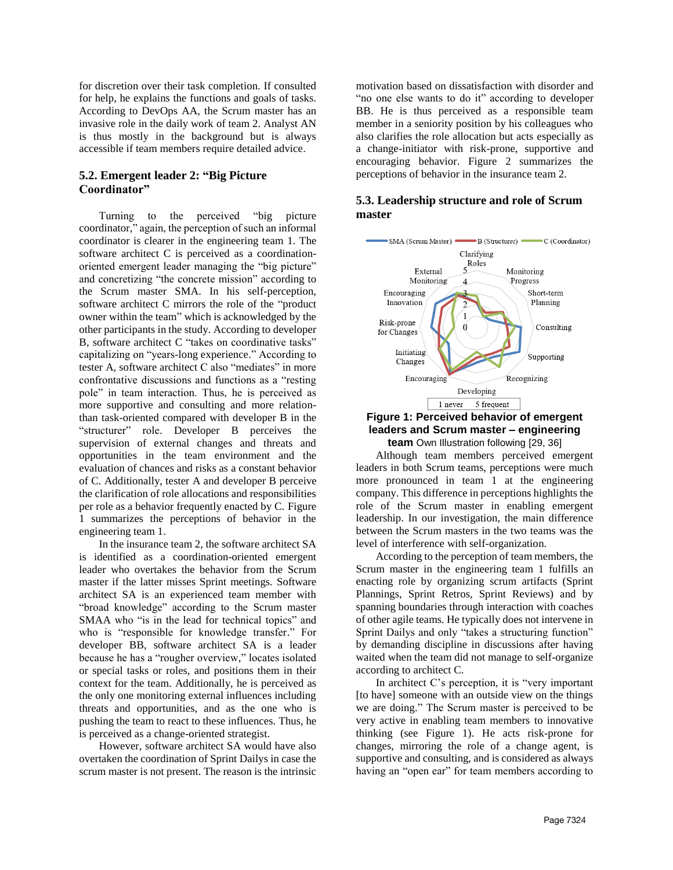for discretion over their task completion. If consulted for help, he explains the functions and goals of tasks. According to DevOps AA, the Scrum master has an invasive role in the daily work of team 2. Analyst AN is thus mostly in the background but is always accessible if team members require detailed advice.

### **5.2. Emergent leader 2: "Big Picture Coordinator"**

Turning to the perceived "big picture coordinator," again, the perception of such an informal coordinator is clearer in the engineering team 1. The software architect C is perceived as a coordinationoriented emergent leader managing the "big picture" and concretizing "the concrete mission" according to the Scrum master SMA. In his self-perception, software architect C mirrors the role of the "product owner within the team" which is acknowledged by the other participants in the study. According to developer B, software architect C "takes on coordinative tasks" capitalizing on "years-long experience." According to tester A, software architect C also "mediates" in more confrontative discussions and functions as a "resting pole" in team interaction. Thus, he is perceived as more supportive and consulting and more relationthan task-oriented compared with developer B in the "structurer" role. Developer B perceives the supervision of external changes and threats and opportunities in the team environment and the evaluation of chances and risks as a constant behavior of C. Additionally, tester A and developer B perceive the clarification of role allocations and responsibilities per role as a behavior frequently enacted by C. Figure 1 summarizes the perceptions of behavior in the engineering team 1.

In the insurance team 2, the software architect SA is identified as a coordination-oriented emergent leader who overtakes the behavior from the Scrum master if the latter misses Sprint meetings. Software architect SA is an experienced team member with "broad knowledge" according to the Scrum master SMAA who "is in the lead for technical topics" and who is "responsible for knowledge transfer." For developer BB, software architect SA is a leader because he has a "rougher overview," locates isolated or special tasks or roles, and positions them in their context for the team. Additionally, he is perceived as the only one monitoring external influences including threats and opportunities, and as the one who is pushing the team to react to these influences. Thus, he is perceived as a change-oriented strategist.

However, software architect SA would have also overtaken the coordination of Sprint Dailys in case the scrum master is not present. The reason is the intrinsic motivation based on dissatisfaction with disorder and "no one else wants to do it" according to developer BB. He is thus perceived as a responsible team member in a seniority position by his colleagues who also clarifies the role allocation but acts especially as a change-initiator with risk-prone, supportive and encouraging behavior. Figure 2 summarizes the perceptions of behavior in the insurance team 2.

### **5.3. Leadership structure and role of Scrum master**



#### **Figure 1: Perceived behavior of emergent leaders and Scrum master – engineering team** Own Illustration following [29, 36]

Although team members perceived emergent leaders in both Scrum teams, perceptions were much more pronounced in team 1 at the engineering company. This difference in perceptions highlights the role of the Scrum master in enabling emergent leadership. In our investigation, the main difference between the Scrum masters in the two teams was the level of interference with self-organization.

According to the perception of team members, the Scrum master in the engineering team 1 fulfills an enacting role by organizing scrum artifacts (Sprint Plannings, Sprint Retros, Sprint Reviews) and by spanning boundaries through interaction with coaches of other agile teams. He typically does not intervene in Sprint Dailys and only "takes a structuring function" by demanding discipline in discussions after having waited when the team did not manage to self-organize according to architect C.

In architect C's perception, it is "very important [to have] someone with an outside view on the things we are doing." The Scrum master is perceived to be very active in enabling team members to innovative thinking (see Figure 1). He acts risk-prone for changes, mirroring the role of a change agent, is supportive and consulting, and is considered as always having an "open ear" for team members according to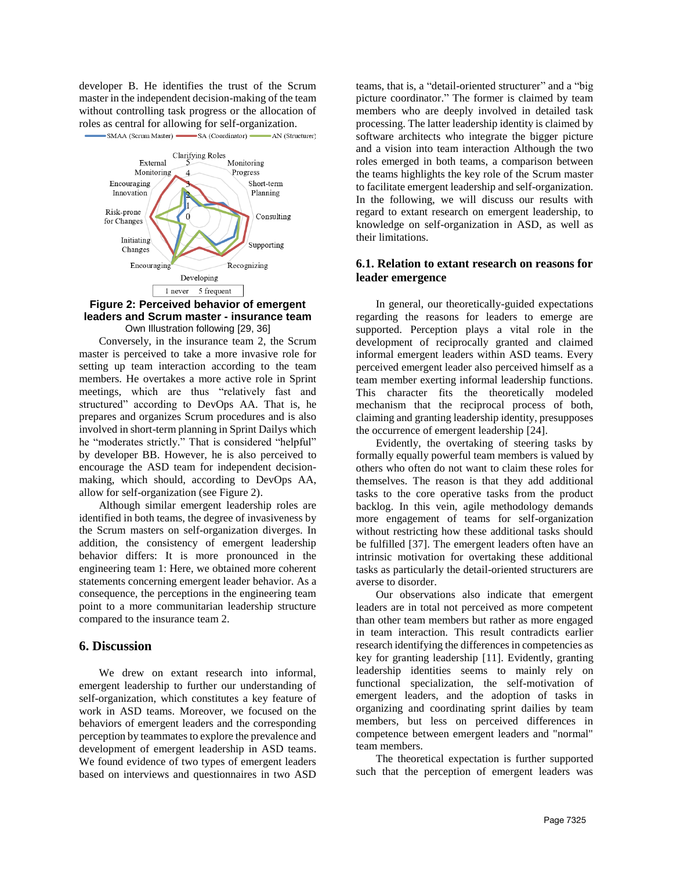developer B. He identifies the trust of the Scrum master in the independent decision-making of the team without controlling task progress or the allocation of roles as central for allowing for self-organization.



SMAA (Scrum Master) SA (Coordinator) AN (Structurer)

#### **Figure 2: Perceived behavior of emergent leaders and Scrum master - insurance team** Own Illustration following [29, 36]

Conversely, in the insurance team 2, the Scrum master is perceived to take a more invasive role for setting up team interaction according to the team members. He overtakes a more active role in Sprint meetings, which are thus "relatively fast and structured" according to DevOps AA. That is, he prepares and organizes Scrum procedures and is also involved in short-term planning in Sprint Dailys which he "moderates strictly." That is considered "helpful" by developer BB. However, he is also perceived to encourage the ASD team for independent decisionmaking, which should, according to DevOps AA, allow for self-organization (see Figure 2).

Although similar emergent leadership roles are identified in both teams, the degree of invasiveness by the Scrum masters on self-organization diverges. In addition, the consistency of emergent leadership behavior differs: It is more pronounced in the engineering team 1: Here, we obtained more coherent statements concerning emergent leader behavior. As a consequence, the perceptions in the engineering team point to a more communitarian leadership structure compared to the insurance team 2.

### **6. Discussion**

We drew on extant research into informal, emergent leadership to further our understanding of self-organization, which constitutes a key feature of work in ASD teams. Moreover, we focused on the behaviors of emergent leaders and the corresponding perception by teammates to explore the prevalence and development of emergent leadership in ASD teams. We found evidence of two types of emergent leaders based on interviews and questionnaires in two ASD teams, that is, a "detail-oriented structurer" and a "big picture coordinator." The former is claimed by team members who are deeply involved in detailed task processing. The latter leadership identity is claimed by software architects who integrate the bigger picture and a vision into team interaction Although the two roles emerged in both teams, a comparison between the teams highlights the key role of the Scrum master to facilitate emergent leadership and self-organization. In the following, we will discuss our results with regard to extant research on emergent leadership, to knowledge on self-organization in ASD, as well as their limitations.

#### **6.1. Relation to extant research on reasons for leader emergence**

In general, our theoretically-guided expectations regarding the reasons for leaders to emerge are supported. Perception plays a vital role in the development of reciprocally granted and claimed informal emergent leaders within ASD teams. Every perceived emergent leader also perceived himself as a team member exerting informal leadership functions. This character fits the theoretically modeled mechanism that the reciprocal process of both, claiming and granting leadership identity, presupposes the occurrence of emergent leadership [24].

Evidently, the overtaking of steering tasks by formally equally powerful team members is valued by others who often do not want to claim these roles for themselves. The reason is that they add additional tasks to the core operative tasks from the product backlog. In this vein, agile methodology demands more engagement of teams for self-organization without restricting how these additional tasks should be fulfilled [37]. The emergent leaders often have an intrinsic motivation for overtaking these additional tasks as particularly the detail-oriented structurers are averse to disorder.

Our observations also indicate that emergent leaders are in total not perceived as more competent than other team members but rather as more engaged in team interaction. This result contradicts earlier research identifying the differences in competencies as key for granting leadership [11]. Evidently, granting leadership identities seems to mainly rely on functional specialization, the self-motivation of emergent leaders, and the adoption of tasks in organizing and coordinating sprint dailies by team members, but less on perceived differences in competence between emergent leaders and "normal" team members.

The theoretical expectation is further supported such that the perception of emergent leaders was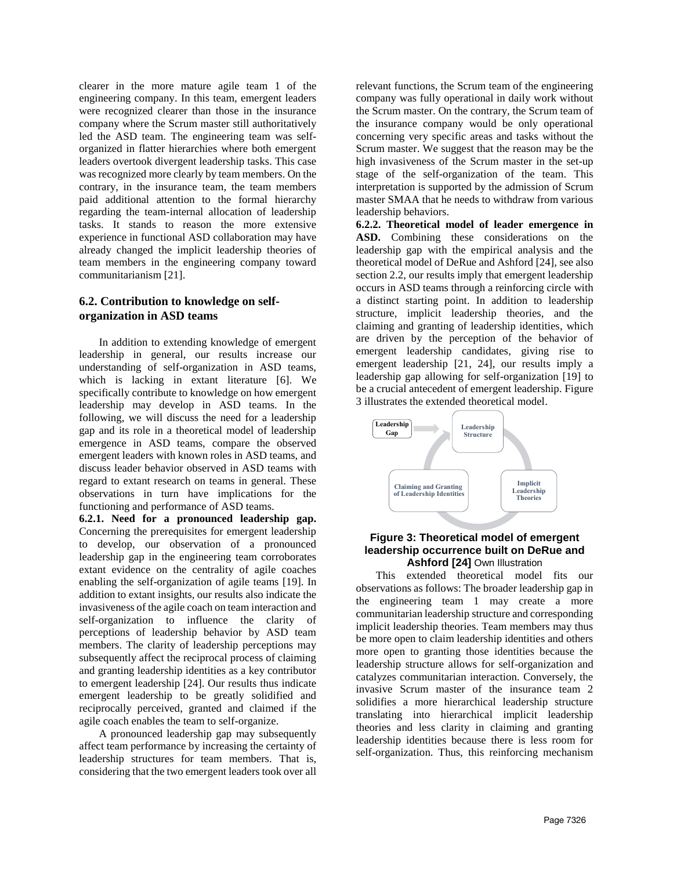clearer in the more mature agile team 1 of the engineering company. In this team, emergent leaders were recognized clearer than those in the insurance company where the Scrum master still authoritatively led the ASD team. The engineering team was selforganized in flatter hierarchies where both emergent leaders overtook divergent leadership tasks. This case was recognized more clearly by team members. On the contrary, in the insurance team, the team members paid additional attention to the formal hierarchy regarding the team-internal allocation of leadership tasks. It stands to reason the more extensive experience in functional ASD collaboration may have already changed the implicit leadership theories of team members in the engineering company toward communitarianism [21].

### **6.2. Contribution to knowledge on selforganization in ASD teams**

In addition to extending knowledge of emergent leadership in general, our results increase our understanding of self-organization in ASD teams, which is lacking in extant literature [6]. We specifically contribute to knowledge on how emergent leadership may develop in ASD teams. In the following, we will discuss the need for a leadership gap and its role in a theoretical model of leadership emergence in ASD teams, compare the observed emergent leaders with known roles in ASD teams, and discuss leader behavior observed in ASD teams with regard to extant research on teams in general. These observations in turn have implications for the functioning and performance of ASD teams.

**6.2.1. Need for a pronounced leadership gap.**  Concerning the prerequisites for emergent leadership to develop, our observation of a pronounced leadership gap in the engineering team corroborates extant evidence on the centrality of agile coaches enabling the self-organization of agile teams [19]. In addition to extant insights, our results also indicate the invasiveness of the agile coach on team interaction and self-organization to influence the clarity of perceptions of leadership behavior by ASD team members. The clarity of leadership perceptions may subsequently affect the reciprocal process of claiming and granting leadership identities as a key contributor to emergent leadership [24]. Our results thus indicate emergent leadership to be greatly solidified and reciprocally perceived, granted and claimed if the agile coach enables the team to self-organize.

A pronounced leadership gap may subsequently affect team performance by increasing the certainty of leadership structures for team members. That is, considering that the two emergent leaders took over all

relevant functions, the Scrum team of the engineering company was fully operational in daily work without the Scrum master. On the contrary, the Scrum team of the insurance company would be only operational concerning very specific areas and tasks without the Scrum master. We suggest that the reason may be the high invasiveness of the Scrum master in the set-up stage of the self-organization of the team. This interpretation is supported by the admission of Scrum master SMAA that he needs to withdraw from various leadership behaviors.

**6.2.2. Theoretical model of leader emergence in ASD.** Combining these considerations on the leadership gap with the empirical analysis and the theoretical model of DeRue and Ashford [24], see also section 2.2, our results imply that emergent leadership occurs in ASD teams through a reinforcing circle with a distinct starting point. In addition to leadership structure, implicit leadership theories, and the claiming and granting of leadership identities, which are driven by the perception of the behavior of emergent leadership candidates, giving rise to emergent leadership [21, 24], our results imply a leadership gap allowing for self-organization [19] to be a crucial antecedent of emergent leadership. Figure 3 illustrates the extended theoretical model.



### **Figure 3: Theoretical model of emergent leadership occurrence built on DeRue and Ashford [24]** Own Illustration

This extended theoretical model fits our observations as follows: The broader leadership gap in the engineering team 1 may create a more communitarian leadership structure and corresponding implicit leadership theories. Team members may thus be more open to claim leadership identities and others more open to granting those identities because the leadership structure allows for self-organization and catalyzes communitarian interaction. Conversely, the invasive Scrum master of the insurance team 2 solidifies a more hierarchical leadership structure translating into hierarchical implicit leadership theories and less clarity in claiming and granting leadership identities because there is less room for self-organization. Thus, this reinforcing mechanism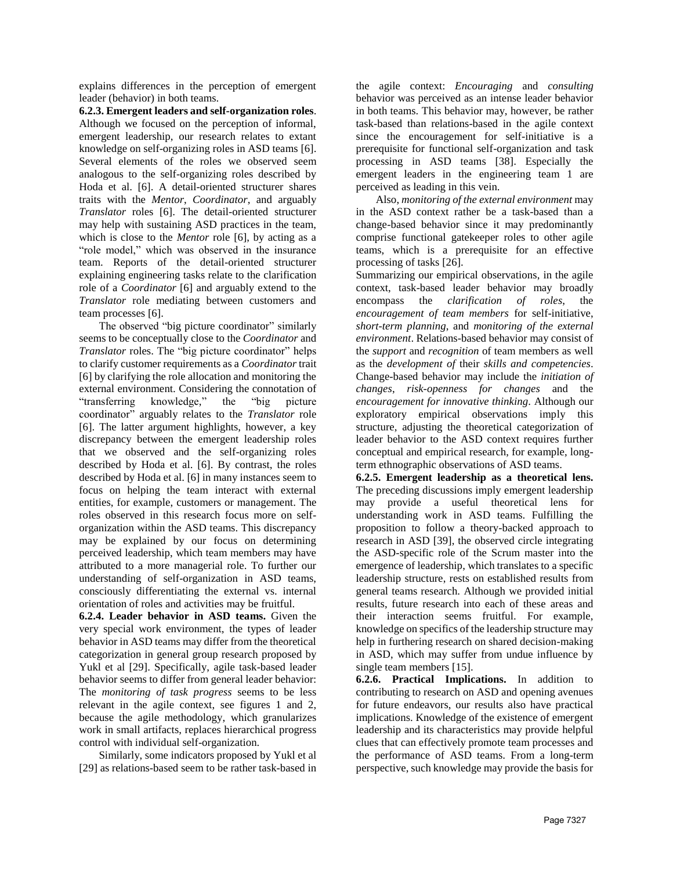explains differences in the perception of emergent leader (behavior) in both teams.

**6.2.3. Emergent leaders and self-organization roles**. Although we focused on the perception of informal, emergent leadership, our research relates to extant knowledge on self-organizing roles in ASD teams [6]. Several elements of the roles we observed seem analogous to the self-organizing roles described by Hoda et al. [6]. A detail-oriented structurer shares traits with the *Mentor*, *Coordinator*, and arguably *Translator* roles [6]. The detail-oriented structurer may help with sustaining ASD practices in the team, which is close to the *Mentor* role [6], by acting as a "role model," which was observed in the insurance team. Reports of the detail-oriented structurer explaining engineering tasks relate to the clarification role of a *Coordinator* [6] and arguably extend to the *Translator* role mediating between customers and team processes [6].

The observed "big picture coordinator" similarly seems to be conceptually close to the *Coordinator* and *Translator* roles. The "big picture coordinator" helps to clarify customer requirements as a *Coordinator* trait [6] by clarifying the role allocation and monitoring the external environment. Considering the connotation of "transferring knowledge," the "big picture coordinator" arguably relates to the *Translator* role [6]. The latter argument highlights, however, a key discrepancy between the emergent leadership roles that we observed and the self-organizing roles described by Hoda et al. [6]. By contrast, the roles described by Hoda et al. [6] in many instances seem to focus on helping the team interact with external entities, for example, customers or management. The roles observed in this research focus more on selforganization within the ASD teams. This discrepancy may be explained by our focus on determining perceived leadership, which team members may have attributed to a more managerial role. To further our understanding of self-organization in ASD teams, consciously differentiating the external vs. internal orientation of roles and activities may be fruitful.

**6.2.4. Leader behavior in ASD teams.** Given the very special work environment, the types of leader behavior in ASD teams may differ from the theoretical categorization in general group research proposed by Yukl et al [29]. Specifically, agile task-based leader behavior seems to differ from general leader behavior: The *monitoring of task progress* seems to be less relevant in the agile context, see figures 1 and 2, because the agile methodology, which granularizes work in small artifacts, replaces hierarchical progress control with individual self-organization.

Similarly, some indicators proposed by Yukl et al [29] as relations-based seem to be rather task-based in the agile context: *Encouraging* and *consulting* behavior was perceived as an intense leader behavior in both teams. This behavior may, however, be rather task-based than relations-based in the agile context since the encouragement for self-initiative is a prerequisite for functional self-organization and task processing in ASD teams [38]. Especially the emergent leaders in the engineering team 1 are perceived as leading in this vein.

Also, *monitoring of the external environment* may in the ASD context rather be a task-based than a change-based behavior since it may predominantly comprise functional gatekeeper roles to other agile teams, which is a prerequisite for an effective processing of tasks [26].

Summarizing our empirical observations, in the agile context, task-based leader behavior may broadly encompass the *clarification of roles*, the *encouragement of team members* for self-initiative, *short-term planning*, and *monitoring of the external environment*. Relations-based behavior may consist of the *support* and *recognition* of team members as well as the *development of* their *skills and competencies*. Change-based behavior may include the *initiation of changes*, *risk-openness for changes* and the *encouragement for innovative thinking*. Although our exploratory empirical observations imply this structure, adjusting the theoretical categorization of leader behavior to the ASD context requires further conceptual and empirical research, for example, longterm ethnographic observations of ASD teams.

**6.2.5. Emergent leadership as a theoretical lens.** The preceding discussions imply emergent leadership may provide a useful theoretical lens for understanding work in ASD teams. Fulfilling the proposition to follow a theory-backed approach to research in ASD [39], the observed circle integrating the ASD-specific role of the Scrum master into the emergence of leadership, which translates to a specific leadership structure, rests on established results from general teams research. Although we provided initial results, future research into each of these areas and their interaction seems fruitful. For example, knowledge on specifics of the leadership structure may help in furthering research on shared decision-making in ASD, which may suffer from undue influence by single team members [15].

**6.2.6. Practical Implications.** In addition to contributing to research on ASD and opening avenues for future endeavors, our results also have practical implications. Knowledge of the existence of emergent leadership and its characteristics may provide helpful clues that can effectively promote team processes and the performance of ASD teams. From a long-term perspective, such knowledge may provide the basis for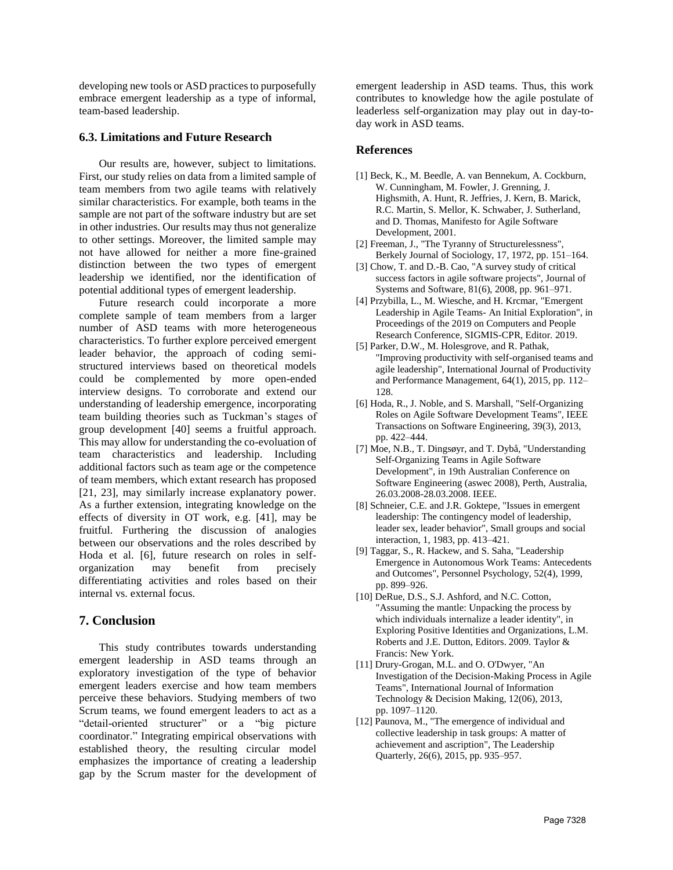developing new tools or ASD practices to purposefully embrace emergent leadership as a type of informal, team-based leadership.

#### **6.3. Limitations and Future Research**

Our results are, however, subject to limitations. First, our study relies on data from a limited sample of team members from two agile teams with relatively similar characteristics. For example, both teams in the sample are not part of the software industry but are set in other industries. Our results may thus not generalize to other settings. Moreover, the limited sample may not have allowed for neither a more fine-grained distinction between the two types of emergent leadership we identified, nor the identification of potential additional types of emergent leadership.

Future research could incorporate a more complete sample of team members from a larger number of ASD teams with more heterogeneous characteristics. To further explore perceived emergent leader behavior, the approach of coding semistructured interviews based on theoretical models could be complemented by more open-ended interview designs. To corroborate and extend our understanding of leadership emergence, incorporating team building theories such as Tuckman's stages of group development [40] seems a fruitful approach. This may allow for understanding the co-evoluation of team characteristics and leadership. Including additional factors such as team age or the competence of team members, which extant research has proposed [21, 23], may similarly increase explanatory power. As a further extension, integrating knowledge on the effects of diversity in OT work, e.g. [41], may be fruitful. Furthering the discussion of analogies between our observations and the roles described by Hoda et al. [6], future research on roles in selforganization may benefit from precisely differentiating activities and roles based on their internal vs. external focus.

## **7. Conclusion**

This study contributes towards understanding emergent leadership in ASD teams through an exploratory investigation of the type of behavior emergent leaders exercise and how team members perceive these behaviors. Studying members of two Scrum teams, we found emergent leaders to act as a "detail-oriented structurer" or a "big picture coordinator." Integrating empirical observations with established theory, the resulting circular model emphasizes the importance of creating a leadership gap by the Scrum master for the development of emergent leadership in ASD teams. Thus, this work contributes to knowledge how the agile postulate of leaderless self-organization may play out in day-today work in ASD teams.

#### **References**

- [1] Beck, K., M. Beedle, A. van Bennekum, A. Cockburn, W. Cunningham, M. Fowler, J. Grenning, J. Highsmith, A. Hunt, R. Jeffries, J. Kern, B. Marick, R.C. Martin, S. Mellor, K. Schwaber, J. Sutherland, and D. Thomas, Manifesto for Agile Software Development, 2001.
- [2] Freeman, J., "The Tyranny of Structurelessness", Berkely Journal of Sociology, 17, 1972, pp. 151–164.
- [3] Chow, T. and D.-B. Cao, "A survey study of critical success factors in agile software projects", Journal of Systems and Software, 81(6), 2008, pp. 961–971.
- [4] Przybilla, L., M. Wiesche, and H. Krcmar, "Emergent Leadership in Agile Teams- An Initial Exploration", in Proceedings of the 2019 on Computers and People Research Conference, SIGMIS-CPR, Editor. 2019.
- [5] Parker, D.W., M. Holesgrove, and R. Pathak, "Improving productivity with self-organised teams and agile leadership", International Journal of Productivity and Performance Management, 64(1), 2015, pp. 112– 128.
- [6] Hoda, R., J. Noble, and S. Marshall, "Self-Organizing Roles on Agile Software Development Teams", IEEE Transactions on Software Engineering, 39(3), 2013, pp. 422–444.
- [7] Moe, N.B., T. Dingsøyr, and T. Dybå, "Understanding Self-Organizing Teams in Agile Software Development", in 19th Australian Conference on Software Engineering (aswec 2008), Perth, Australia, 26.03.2008-28.03.2008. IEEE.
- [8] Schneier, C.E. and J.R. Goktepe, "Issues in emergent leadership: The contingency model of leadership, leader sex, leader behavior", Small groups and social interaction, 1, 1983, pp. 413–421.
- [9] Taggar, S., R. Hackew, and S. Saha, "Leadership Emergence in Autonomous Work Teams: Antecedents and Outcomes", Personnel Psychology, 52(4), 1999, pp. 899–926.
- [10] DeRue, D.S., S.J. Ashford, and N.C. Cotton, "Assuming the mantle: Unpacking the process by which individuals internalize a leader identity", in Exploring Positive Identities and Organizations, L.M. Roberts and J.E. Dutton, Editors. 2009. Taylor & Francis: New York.
- [11] Drury-Grogan, M.L. and O. O'Dwyer, "An Investigation of the Decision-Making Process in Agile Teams", International Journal of Information Technology & Decision Making, 12(06), 2013, pp. 1097–1120.
- [12] Paunova, M., "The emergence of individual and collective leadership in task groups: A matter of achievement and ascription", The Leadership Quarterly, 26(6), 2015, pp. 935–957.